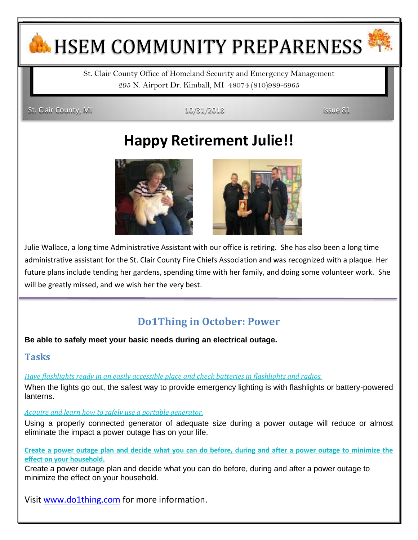# **H. HSEM COMMUNITY PREPARENESS**

St. Clair County Office of Homeland Security and Emergency Management 295 N. Airport Dr. Kimball, MI 48074 (810)989-6965

St. Clair County, MI 10/31/2018 Issue 81

## **Happy Retirement Julie!!**



Julie Wallace, a long time Administrative Assistant with our office is retiring. She has also been a long time administrative assistant for the St. Clair County Fire Chiefs Association and was recognized with a plaque. Her future plans include tending her gardens, spending time with her family, and doing some volunteer work. She will be greatly missed, and we wish her the very best.

### **Do1Thing in October: Power**

**Be able to safely meet your basic needs during an electrical outage.**

### **Tasks**

### *Have flashlights ready [in an easily accessible place and check batteries in flashlights and radios.](https://do1thing.us9.list-manage.com/track/click?u=035ce122cd759f1206d70dbbc&id=6eb195ea29&e=1e1dda77ee)*

When the lights go out, the safest way to provide emergency lighting is with flashlights or battery-powered lanterns.

### *[Acquire and learn how to safely use a portable generator.](https://do1thing.us9.list-manage.com/track/click?u=035ce122cd759f1206d70dbbc&id=037a81de5d&e=1e1dda77ee)*

Using a properly connected generator of adequate size during a power outage will reduce or almost eliminate the impact a power outage has on your life.

**[Create a power outage plan and decide what you can do before, during and after a power outage to minimize the](https://do1thing.us9.list-manage.com/track/click?u=035ce122cd759f1206d70dbbc&id=4a980ea477&e=1e1dda77ee)  [effect on your household.](https://do1thing.us9.list-manage.com/track/click?u=035ce122cd759f1206d70dbbc&id=4a980ea477&e=1e1dda77ee)** 

Create a power outage plan and decide what you can do before, during and after a power outage to minimize the effect on your household.

Visit [www.do1thing.com](http://www.do1thing.com/) for more information.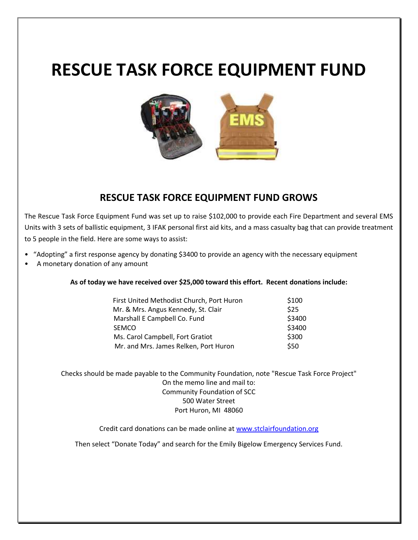# **RESCUE TASK FORCE EQUIPMENT FUND**



### **RESCUE TASK FORCE EQUIPMENT FUND GROWS**

The Rescue Task Force Equipment Fund was set up to raise \$102,000 to provide each Fire Department and several EMS Units with 3 sets of ballistic equipment, 3 IFAK personal first aid kits, and a mass casualty bag that can provide treatment to 5 people in the field. Here are some ways to assist:

- "Adopting" a first response agency by donating \$3400 to provide an agency with the necessary equipment
- A monetary donation of any amount

**As of today we have received over \$25,000 toward this effort. Recent donations include:**

|  | First United Methodist Church, Port Huron | \$100  |
|--|-------------------------------------------|--------|
|  | Mr. & Mrs. Angus Kennedy, St. Clair       | \$25   |
|  | Marshall E Campbell Co. Fund              | \$3400 |
|  | <b>SEMCO</b>                              | \$3400 |
|  | Ms. Carol Campbell, Fort Gratiot          | \$300  |
|  | Mr. and Mrs. James Relken, Port Huron     | \$50   |

Checks should be made payable to the Community Foundation, note "Rescue Task Force Project" On the memo line and mail to: Community Foundation of SCC 500 Water Street Port Huron, MI 48060

Credit card donations can be made online at [www.stclairfoundation.org](http://www.stclairfoundation.org/)

Then select "Donate Today" and search for the Emily Bigelow Emergency Services Fund.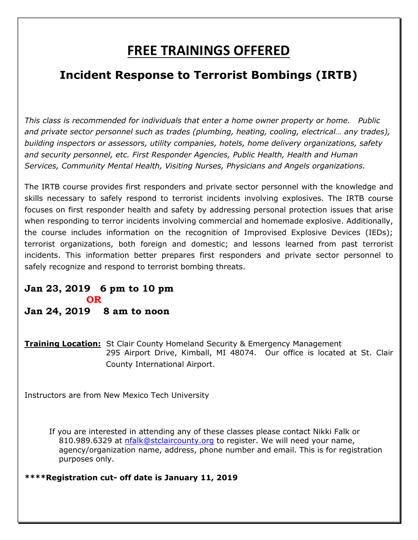### **FREE TRAININGS OFFERED**

### **Incident Response to Terrorist Bombings (IRTB)**

*This class is recommended for individuals that enter a home owner property or home. Public and private sector personnel such as trades (plumbing, heating, cooling, electrical… any trades), building inspectors or assessors, utility companies, hotels, home delivery organizations, safety and security personnel, etc. First Responder Agencies, Public Health, Health and Human Services, Community Mental Health, Visiting Nurses, Physicians and Angels organizations.*

The IRTB course provides first responders and private sector personnel with the knowledge and skills necessary to safely respond to terrorist incidents involving explosives. The IRTB course focuses on first responder health and safety by addressing personal protection issues that arise when responding to terror incidents involving commercial and homemade explosive. Additionally, the course includes information on the recognition of Improvised Explosive Devices (IEDs); terrorist organizations, both foreign and domestic; and lessons learned from past terrorist incidents. This information better prepares first responders and private sector personnel to safely recognize and respond to terrorist bombing threats.

### **Jan 23, 2019 6 pm to 10 pm** *OR* **Jan 24, 2019 8 am to noon**

**Training Location:** St Clair County Homeland Security & Emergency Management 295 Airport Drive, Kimball, MI 48074. Our office is located at St. Clair County International Airport.

Instructors are from New Mexico Tech University

If you are interested in attending any of these classes please contact Nikki Falk or 810.989.6329 at [nfalk@stclaircounty.org](mailto:nfalk@stclaircounty.org) to register. We will need your name, agency/organization name, address, phone number and email. This is for registration purposes only.

**\*\*\*\*Registration cut- off date is January 11, 2019**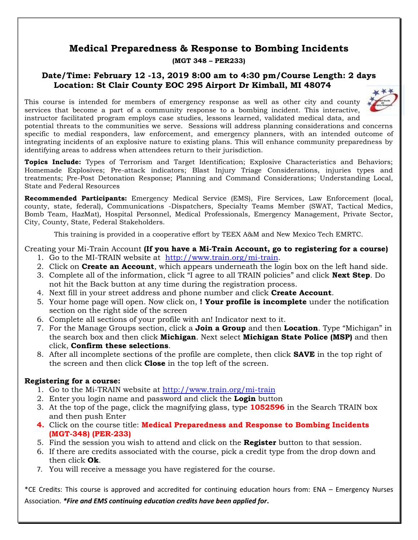### **Medical Preparedness & Response to Bombing Incidents**

#### **(MGT 348 – PER233)**

### **Date/Time: February 12 -13, 2019 8:00 am to 4:30 pm/Course Length: 2 days Location: St Clair County EOC 295 Airport Dr Kimball, MI 48074**

This course is intended for members of emergency response as well as other city and county



services that become a part of a community response to a bombing incident. This interactive, instructor facilitated program employs case studies, lessons learned, validated medical data, and potential threats to the communities we serve. Sessions will address planning considerations and concerns specific to medial responders, law enforcement, and emergency planners, with an intended outcome of integrating incidents of an explosive nature to existing plans. This will enhance community preparedness by identifying areas to address when attendees return to their jurisdiction.

**Topics Include:** Types of Terrorism and Target Identification; Explosive Characteristics and Behaviors; Homemade Explosives; Pre-attack indicators; Blast Injury Triage Considerations, injuries types and treatments; Pre-Post Detonation Response; Planning and Command Considerations; Understanding Local, State and Federal Resources

**Recommended Participants:** Emergency Medical Service (EMS), Fire Services, Law Enforcement (local, county, state, federal), Communications -Dispatchers, Specialty Teams Member (SWAT, Tactical Medics, Bomb Team, HazMat), Hospital Personnel, Medical Professionals, Emergency Management, Private Sector, City, County, State, Federal Stakeholders.

This training is provided in a cooperative effort by TEEX A&M and New Mexico Tech EMRTC.

Creating your Mi-Train Account **(If you have a Mi-Train Account, go to registering for a course)**

- 1. Go to the MI-TRAIN website at [http://www.train.org/mi-train.](http://www.train.org/mi-train)
- 2. Click on **Create an Account**, which appears underneath the login box on the left hand side.
- 3. Complete all of the information, click "I agree to all TRAIN policies" and click **Next Step**. Do not hit the Back button at any time during the registration process.
- 4. Next fill in your street address and phone number and click **Create Account**.
- 5. Your home page will open. Now click on, **! Your profile is incomplete** under the notification section on the right side of the screen
- 6. Complete all sections of your profile with an! Indicator next to it.
- 7. For the Manage Groups section, click a **Join a Group** and then **Location**. Type "Michigan" in the search box and then click **Michigan**. Next select **Michigan State Police (MSP)** and then click, **Confirm these selections**.
- 8. After all incomplete sections of the profile are complete, then click **SAVE** in the top right of the screen and then click **Close** in the top left of the screen.

### **Registering for a course:**

- 1. Go to the Mi-TRAIN website at<http://www.train.org/mi-train>
- 2. Enter you login name and password and click the **Login** button
- 3. At the top of the page, click the magnifying glass, type **1052596** in the Search TRAIN box and then push Enter
- **4.** Click on the course title: **Medical Preparedness and Response to Bombing Incidents (MGT-348) (PER-233)**
- 5. Find the session you wish to attend and click on the **Register** button to that session.
- 6. If there are credits associated with the course, pick a credit type from the drop down and then click **Ok**.
- 7. You will receive a message you have registered for the course.

\*CE Credits: This course is approved and accredited for continuing education hours from: ENA – Emergency Nurses Association. *\*Fire and EMS continuing education credits have been applied for***.**